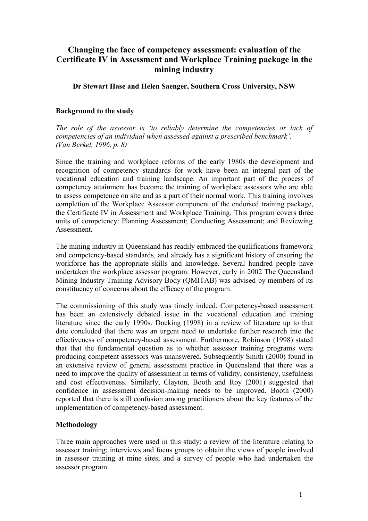# **Changing the face of competency assessment: evaluation of the Certificate IV in Assessment and Workplace Training package in the mining industry**

**Dr Stewart Hase and Helen Saenger, Southern Cross University, NSW**

### **Background to the study**

*The role of the assessor is 'to reliably determine the competencies or lack of competencies of an individual when assessed against a prescribed benchmark'. (Van Berkel, 1996, p. 8)*

Since the training and workplace reforms of the early 1980s the development and recognition of competency standards for work have been an integral part of the vocational education and training landscape. An important part of the process of competency attainment has become the training of workplace assessors who are able to assess competence on site and as a part of their normal work. This training involves completion of the Workplace Assessor component of the endorsed training package, the Certificate IV in Assessment and Workplace Training. This program covers three units of competency: Planning Assessment; Conducting Assessment; and Reviewing **Assessment** 

The mining industry in Queensland has readily embraced the qualifications framework and competency-based standards, and already has a significant history of ensuring the workforce has the appropriate skills and knowledge. Several hundred people have undertaken the workplace assessor program. However, early in 2002 The Queensland Mining Industry Training Advisory Body (QMITAB) was advised by members of its constituency of concerns about the efficacy of the program.

The commissioning of this study was timely indeed. Competency-based assessment has been an extensively debated issue in the vocational education and training literature since the early 1990s. Docking (1998) in a review of literature up to that date concluded that there was an urgent need to undertake further research into the effectiveness of competency-based assessment. Furthermore, Robinson (1998) stated that that the fundamental question as to whether assessor training programs were producing competent assessors was unanswered. Subsequently Smith (2000) found in an extensive review of general assessment practice in Queensland that there was a need to improve the quality of assessment in terms of validity, consistency, usefulness and cost effectiveness. Similarly, Clayton, Booth and Roy (2001) suggested that confidence in assessment decision-making needs to be improved. Booth (2000) reported that there is still confusion among practitioners about the key features of the implementation of competency-based assessment.

### **Methodology**

Three main approaches were used in this study: a review of the literature relating to assessor training; interviews and focus groups to obtain the views of people involved in assessor training at mine sites; and a survey of people who had undertaken the assessor program.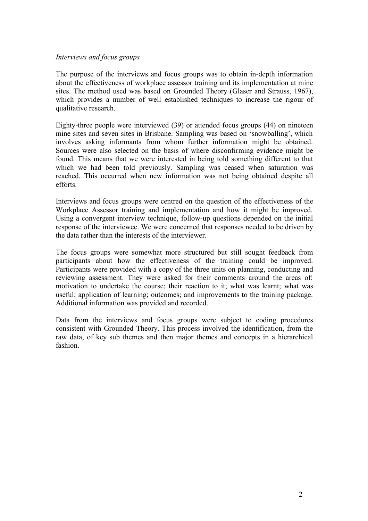#### *Interviews and focus groups*

The purpose of the interviews and focus groups was to obtain in-depth information about the effectiveness of workplace assessor training and its implementation at mine sites. The method used was based on Grounded Theory (Glaser and Strauss, 1967), which provides a number of well–established techniques to increase the rigour of qualitative research.

Eighty-three people were interviewed (39) or attended focus groups (44) on nineteen mine sites and seven sites in Brisbane. Sampling was based on 'snowballing', which involves asking informants from whom further information might be obtained. Sources were also selected on the basis of where disconfirming evidence might be found. This means that we were interested in being told something different to that which we had been told previously. Sampling was ceased when saturation was reached. This occurred when new information was not being obtained despite all efforts.

Interviews and focus groups were centred on the question of the effectiveness of the Workplace Assessor training and implementation and how it might be improved. Using a convergent interview technique, follow-up questions depended on the initial response of the interviewee. We were concerned that responses needed to be driven by the data rather than the interests of the interviewer.

The focus groups were somewhat more structured but still sought feedback from participants about how the effectiveness of the training could be improved. Participants were provided with a copy of the three units on planning, conducting and reviewing assessment. They were asked for their comments around the areas of: motivation to undertake the course; their reaction to it; what was learnt; what was useful; application of learning; outcomes; and improvements to the training package. Additional information was provided and recorded.

Data from the interviews and focus groups were subject to coding procedures consistent with Grounded Theory. This process involved the identification, from the raw data, of key sub themes and then major themes and concepts in a hierarchical fashion.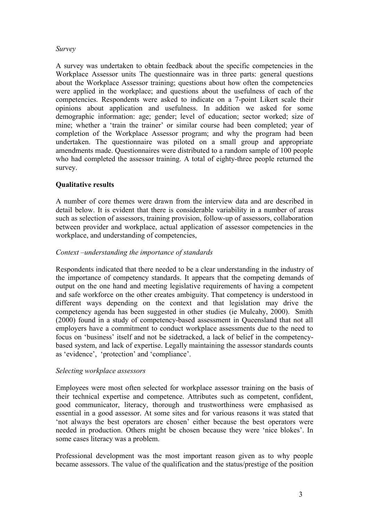### *Survey*

A survey was undertaken to obtain feedback about the specific competencies in the Workplace Assessor units The questionnaire was in three parts: general questions about the Workplace Assessor training; questions about how often the competencies were applied in the workplace; and questions about the usefulness of each of the competencies. Respondents were asked to indicate on a 7-point Likert scale their opinions about application and usefulness. In addition we asked for some demographic information: age; gender; level of education; sector worked; size of mine; whether a 'train the trainer' or similar course had been completed; year of completion of the Workplace Assessor program; and why the program had been undertaken. The questionnaire was piloted on a small group and appropriate amendments made. Questionnaires were distributed to a random sample of 100 people who had completed the assessor training. A total of eighty-three people returned the survey.

# **Qualitative results**

A number of core themes were drawn from the interview data and are described in detail below. It is evident that there is considerable variability in a number of areas such as selection of assessors, training provision, follow-up of assessors, collaboration between provider and workplace, actual application of assessor competencies in the workplace, and understanding of competencies,

### *Context –understanding the importance of standards*

Respondents indicated that there needed to be a clear understanding in the industry of the importance of competency standards. It appears that the competing demands of output on the one hand and meeting legislative requirements of having a competent and safe workforce on the other creates ambiguity. That competency is understood in different ways depending on the context and that legislation may drive the competency agenda has been suggested in other studies (ie Mulcahy, 2000). Smith (2000) found in a study of competency-based assessment in Queensland that not all employers have a commitment to conduct workplace assessments due to the need to focus on 'business' itself and not be sidetracked, a lack of belief in the competencybased system, and lack of expertise. Legally maintaining the assessor standards counts as 'evidence', 'protection' and 'compliance'.

### *Selecting workplace assessors*

Employees were most often selected for workplace assessor training on the basis of their technical expertise and competence. Attributes such as competent, confident, good communicator, literacy, thorough and trustworthiness were emphasised as essential in a good assessor. At some sites and for various reasons it was stated that 'not always the best operators are chosen' either because the best operators were needed in production. Others might be chosen because they were 'nice blokes'. In some cases literacy was a problem.

Professional development was the most important reason given as to why people became assessors. The value of the qualification and the status/prestige of the position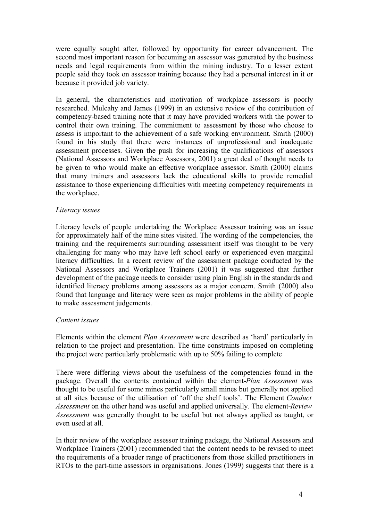were equally sought after, followed by opportunity for career advancement. The second most important reason for becoming an assessor was generated by the business needs and legal requirements from within the mining industry. To a lesser extent people said they took on assessor training because they had a personal interest in it or because it provided job variety.

In general, the characteristics and motivation of workplace assessors is poorly researched. Mulcahy and James (1999) in an extensive review of the contribution of competency-based training note that it may have provided workers with the power to control their own training. The commitment to assessment by those who choose to assess is important to the achievement of a safe working environment. Smith (2000) found in his study that there were instances of unprofessional and inadequate assessment processes. Given the push for increasing the qualifications of assessors (National Assessors and Workplace Assessors, 2001) a great deal of thought needs to be given to who would make an effective workplace assessor. Smith (2000) claims that many trainers and assessors lack the educational skills to provide remedial assistance to those experiencing difficulties with meeting competency requirements in the workplace.

### *Literacy issues*

Literacy levels of people undertaking the Workplace Assessor training was an issue for approximately half of the mine sites visited. The wording of the competencies, the training and the requirements surrounding assessment itself was thought to be very challenging for many who may have left school early or experienced even marginal literacy difficulties. In a recent review of the assessment package conducted by the National Assessors and Workplace Trainers (2001) it was suggested that further development of the package needs to consider using plain English in the standards and identified literacy problems among assessors as a major concern. Smith (2000) also found that language and literacy were seen as major problems in the ability of people to make assessment judgements.

### *Content issues*

Elements within the element *Plan Assessment* were described as 'hard' particularly in relation to the project and presentation. The time constraints imposed on completing the project were particularly problematic with up to 50% failing to complete

There were differing views about the usefulness of the competencies found in the package. Overall the contents contained within the element-*Plan Assessment* was thought to be useful for some mines particularly small mines but generally not applied at all sites because of the utilisation of 'off the shelf tools'. The Element *Conduct Assessment* on the other hand was useful and applied universally. The element-*Review Assessment* was generally thought to be useful but not always applied as taught, or even used at all.

In their review of the workplace assessor training package, the National Assessors and Workplace Trainers (2001) recommended that the content needs to be revised to meet the requirements of a broader range of practitioners from those skilled practitioners in RTOs to the part-time assessors in organisations. Jones (1999) suggests that there is a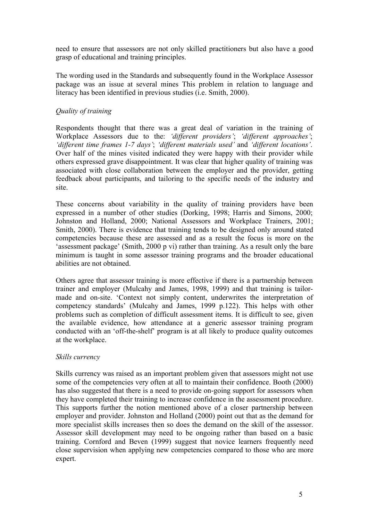need to ensure that assessors are not only skilled practitioners but also have a good grasp of educational and training principles.

The wording used in the Standards and subsequently found in the Workplace Assessor package was an issue at several mines This problem in relation to language and literacy has been identified in previous studies (i.e. Smith, 2000).

## *Quality of training*

Respondents thought that there was a great deal of variation in the training of Workplace Assessors due to the: *'different providers'*; *'different approaches'*; *'different time frames 1-7 days'*; *'different materials used'* and *'different locations'*. Over half of the mines visited indicated they were happy with their provider while others expressed grave disappointment. It was clear that higher quality of training was associated with close collaboration between the employer and the provider, getting feedback about participants, and tailoring to the specific needs of the industry and site.

These concerns about variability in the quality of training providers have been expressed in a number of other studies (Dorking, 1998; Harris and Simons, 2000; Johnston and Holland, 2000; National Assessors and Workplace Trainers, 2001; Smith, 2000). There is evidence that training tends to be designed only around stated competencies because these are assessed and as a result the focus is more on the 'assessment package' (Smith, 2000 p vi) rather than training. As a result only the bare minimum is taught in some assessor training programs and the broader educational abilities are not obtained.

Others agree that assessor training is more effective if there is a partnership between trainer and employer (Mulcahy and James, 1998, 1999) and that training is tailormade and on-site. 'Context not simply content, underwrites the interpretation of competency standards' (Mulcahy and James, 1999 p.122). This helps with other problems such as completion of difficult assessment items. It is difficult to see, given the available evidence, how attendance at a generic assessor training program conducted with an 'off-the-shelf' program is at all likely to produce quality outcomes at the workplace.

### *Skills currency*

Skills currency was raised as an important problem given that assessors might not use some of the competencies very often at all to maintain their confidence. Booth (2000) has also suggested that there is a need to provide on-going support for assessors when they have completed their training to increase confidence in the assessment procedure. This supports further the notion mentioned above of a closer partnership between employer and provider. Johnston and Holland (2000) point out that as the demand for more specialist skills increases then so does the demand on the skill of the assessor. Assessor skill development may need to be ongoing rather than based on a basic training. Cornford and Beven (1999) suggest that novice learners frequently need close supervision when applying new competencies compared to those who are more expert.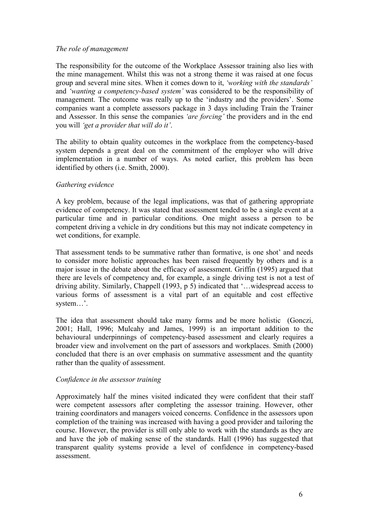### *The role of management*

The responsibility for the outcome of the Workplace Assessor training also lies with the mine management. Whilst this was not a strong theme it was raised at one focus group and several mine sites. When it comes down to it, *'working with the standards'* and *'wanting a competency-based system'* was considered to be the responsibility of management. The outcome was really up to the 'industry and the providers'. Some companies want a complete assessors package in 3 days including Train the Trainer and Assessor. In this sense the companies *'are forcing'* the providers and in the end you will *'get a provider that will do it'*.

The ability to obtain quality outcomes in the workplace from the competency-based system depends a great deal on the commitment of the employer who will drive implementation in a number of ways. As noted earlier, this problem has been identified by others (i.e. Smith, 2000).

### *Gathering evidence*

A key problem, because of the legal implications, was that of gathering appropriate evidence of competency. It was stated that assessment tended to be a single event at a particular time and in particular conditions. One might assess a person to be competent driving a vehicle in dry conditions but this may not indicate competency in wet conditions, for example.

That assessment tends to be summative rather than formative, is one shot' and needs to consider more holistic approaches has been raised frequently by others and is a major issue in the debate about the efficacy of assessment. Griffin (1995) argued that there are levels of competency and, for example, a single driving test is not a test of driving ability. Similarly, Chappell (1993, p 5) indicated that '…widespread access to various forms of assessment is a vital part of an equitable and cost effective system…'.

The idea that assessment should take many forms and be more holistic (Gonczi, 2001; Hall, 1996; Mulcahy and James, 1999) is an important addition to the behavioural underpinnings of competency-based assessment and clearly requires a broader view and involvement on the part of assessors and workplaces. Smith (2000) concluded that there is an over emphasis on summative assessment and the quantity rather than the quality of assessment.

### *Confidence in the assessor training*

Approximately half the mines visited indicated they were confident that their staff were competent assessors after completing the assessor training. However, other training coordinators and managers voiced concerns. Confidence in the assessors upon completion of the training was increased with having a good provider and tailoring the course. However, the provider is still only able to work with the standards as they are and have the job of making sense of the standards. Hall (1996) has suggested that transparent quality systems provide a level of confidence in competency-based assessment.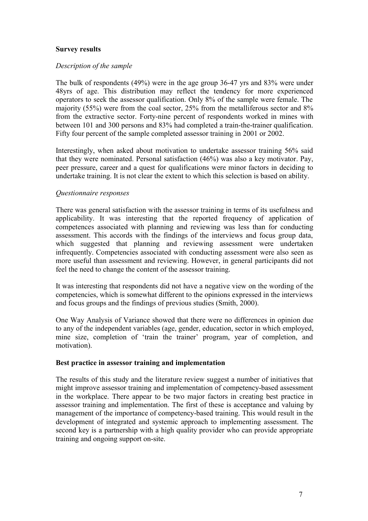### **Survey results**

### *Description of the sample*

The bulk of respondents (49%) were in the age group 36-47 yrs and 83% were under 48yrs of age. This distribution may reflect the tendency for more experienced operators to seek the assessor qualification. Only 8% of the sample were female. The majority (55%) were from the coal sector, 25% from the metalliferous sector and 8% from the extractive sector. Forty-nine percent of respondents worked in mines with between 101 and 300 persons and 83% had completed a train-the-trainer qualification. Fifty four percent of the sample completed assessor training in 2001 or 2002.

Interestingly, when asked about motivation to undertake assessor training 56% said that they were nominated. Personal satisfaction (46%) was also a key motivator. Pay, peer pressure, career and a quest for qualifications were minor factors in deciding to undertake training. It is not clear the extent to which this selection is based on ability.

### *Questionnaire responses*

There was general satisfaction with the assessor training in terms of its usefulness and applicability. It was interesting that the reported frequency of application of competences associated with planning and reviewing was less than for conducting assessment. This accords with the findings of the interviews and focus group data, which suggested that planning and reviewing assessment were undertaken infrequently. Competencies associated with conducting assessment were also seen as more useful than assessment and reviewing. However, in general participants did not feel the need to change the content of the assessor training.

It was interesting that respondents did not have a negative view on the wording of the competencies, which is somewhat different to the opinions expressed in the interviews and focus groups and the findings of previous studies (Smith, 2000).

One Way Analysis of Variance showed that there were no differences in opinion due to any of the independent variables (age, gender, education, sector in which employed, mine size, completion of 'train the trainer' program, year of completion, and motivation).

### **Best practice in assessor training and implementation**

The results of this study and the literature review suggest a number of initiatives that might improve assessor training and implementation of competency-based assessment in the workplace. There appear to be two major factors in creating best practice in assessor training and implementation. The first of these is acceptance and valuing by management of the importance of competency-based training. This would result in the development of integrated and systemic approach to implementing assessment. The second key is a partnership with a high quality provider who can provide appropriate training and ongoing support on-site.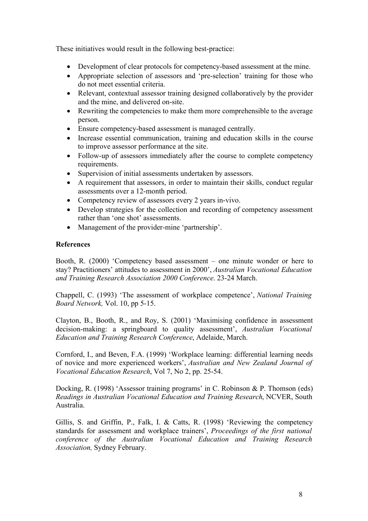These initiatives would result in the following best-practice:

- Development of clear protocols for competency-based assessment at the mine.
- Appropriate selection of assessors and 'pre-selection' training for those who do not meet essential criteria.
- Relevant, contextual assessor training designed collaboratively by the provider and the mine, and delivered on-site.
- Rewriting the competencies to make them more comprehensible to the average person.
- Ensure competency-based assessment is managed centrally.
- Increase essential communication, training and education skills in the course to improve assessor performance at the site.
- Follow-up of assessors immediately after the course to complete competency requirements.
- Supervision of initial assessments undertaken by assessors.
- A requirement that assessors, in order to maintain their skills, conduct regular assessments over a 12-month period.
- Competency review of assessors every 2 years in-vivo.
- Develop strategies for the collection and recording of competency assessment rather than 'one shot' assessments.
- Management of the provider-mine 'partnership'.

# **References**

Booth, R. (2000) 'Competency based assessment – one minute wonder or here to stay? Practitioners' attitudes to assessment in 2000', *Australian Vocational Education and Training Research Association 2000 Conference*. 23-24 March.

Chappell, C. (1993) 'The assessment of workplace competence', *National Training Board Network,* Vol. 10, pp 5-15.

Clayton, B., Booth, R., and Roy, S. (2001) 'Maximising confidence in assessment decision-making: a springboard to quality assessment', *Australian Vocational Education and Training Research Conference*, Adelaide, March.

Cornford, I., and Beven, F.A. (1999) 'Workplace learning: differential learning needs of novice and more experienced workers', *Australian and New Zealand Journal of Vocational Education Research*, Vol 7, No 2, pp. 25-54.

Docking, R. (1998) 'Assessor training programs' in C. Robinson & P. Thomson (eds) *Readings in Australian Vocational Education and Training Research*, NCVER, South Australia.

Gillis, S. and Griffin, P., Falk, I. & Catts, R. (1998) 'Reviewing the competency standards for assessment and workplace trainers', *Proceedings of the first national conference of the Australian Vocational Education and Training Research Association,* Sydney February.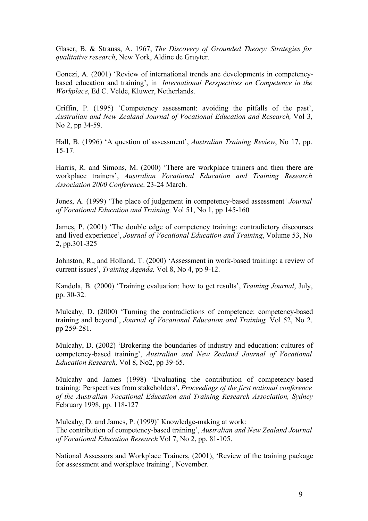Glaser, B. & Strauss, A. 1967, *The Discovery of Grounded Theory: Strategies for qualitative research*, New York, Aldine de Gruyter.

Gonczi, A. (2001) 'Review of international trends ane developments in competencybased education and training', in *International Perspectives on Competence in the Workplace*, Ed C. Velde, Kluwer, Netherlands.

Griffin, P. (1995) 'Competency assessment: avoiding the pitfalls of the past', *Australian and New Zealand Journal of Vocational Education and Research,* Vol 3, No 2, pp 34-59.

Hall, B. (1996) 'A question of assessment', *Australian Training Review*, No 17, pp. 15-17.

Harris, R. and Simons, M. (2000) 'There are workplace trainers and then there are workplace trainers', *Australian Vocational Education and Training Research Association 2000 Conference*. 23-24 March.

Jones, A. (1999) 'The place of judgement in competency-based assessment*' Journal of Vocational Education and Training,* Vol 51, No 1, pp 145-160

James, P. (2001) 'The double edge of competency training: contradictory discourses and lived experience', *Journal of Vocational Education and Training*, Volume 53, No 2, pp.301-325

Johnston, R., and Holland, T. (2000) 'Assessment in work-based training: a review of current issues', *Training Agenda,* Vol 8, No 4, pp 9-12.

Kandola, B. (2000) 'Training evaluation: how to get results', *Training Journal*, July, pp. 30-32.

Mulcahy, D. (2000) 'Turning the contradictions of competence: competency-based training and beyond', *Journal of Vocational Education and Training,* Vol 52, No 2. pp 259-281.

Mulcahy, D. (2002) 'Brokering the boundaries of industry and education: cultures of competency-based training', *Australian and New Zealand Journal of Vocational Education Research,* Vol 8, No2, pp 39-65.

Mulcahy and James (1998) 'Evaluating the contribution of competency-based training: Perspectives from stakeholders', *Proceedings of the first national conference of the Australian Vocational Education and Training Research Association, Sydney* February 1998, pp. 118-127

Mulcahy, D. and James, P. (1999)' Knowledge-making at work: The contribution of competency-based training', *Australian and New Zealand Journal of Vocational Education Research* Vol 7, No 2, pp. 81-105.

National Assessors and Workplace Trainers, (2001), 'Review of the training package for assessment and workplace training', November.